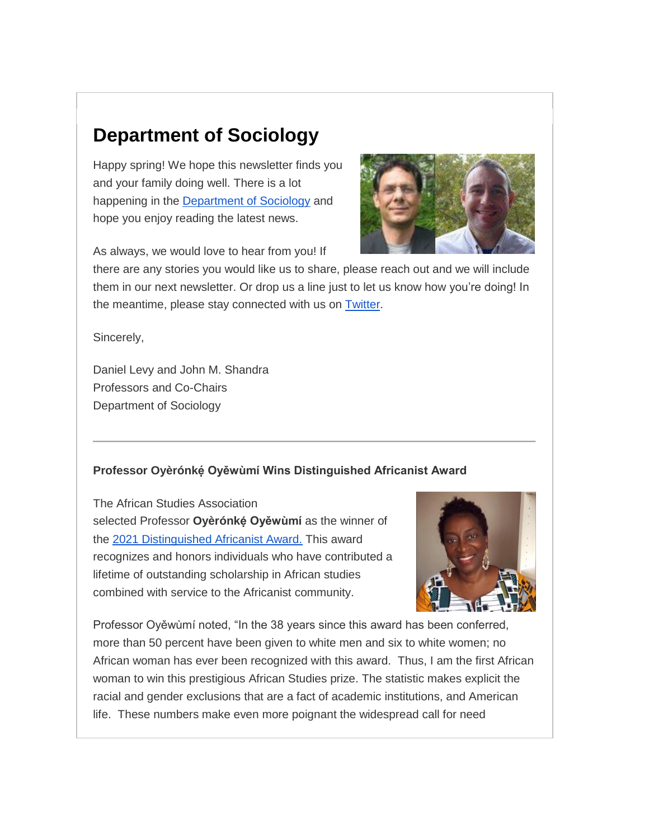# **Department of Sociology**

Happy spring! We hope this newsletter finds you and your family doing well. There is a lot happening in the [Department of Sociology](https://alumniandfriends.stonybrook.edu/site/R?i=ntB2kPNqUwd0GOCY4VQqULb4-Q1l-OQ9TTnIPyCtmKStNhwhOzdLoA) and hope you enjoy reading the latest news.





there are any stories you would like us to share, please reach out and we will include them in our next newsletter. Or drop us a line just to let us know how you're doing! In the meantime, please stay connected with us on [Twitter.](https://alumniandfriends.stonybrook.edu/site/R?i=jK_grmdXqGTYeGgmXkNy_ctkkgC-Jkkox0IN6Ur83ObhvHvB6rYG1w)

Sincerely,

Daniel Levy and John M. Shandra Professors and Co-Chairs Department of Sociology

## **Professor Oyèrónkẹ́ Oyěwùmí Wins Distinguished Africanist Award**

The African Studies Association selected Professor Oyèrónké Oyěwùmí as the winner of the [2021 Distinguished Africanist Award.](https://alumniandfriends.stonybrook.edu/site/R?i=jTvg6OpuRftO0BZqpS-zaHeraV2r3PE4sgr6iyxfwxLrMNX7Nr3PGQ) This award recognizes and honors individuals who have contributed a lifetime of outstanding scholarship in African studies combined with service to the Africanist community.



Professor Oyěwùmí noted, "In the 38 years since this award has been conferred, more than 50 percent have been given to white men and six to white women; no African woman has ever been recognized with this award. Thus, I am the first African woman to win this prestigious African Studies prize. The statistic makes explicit the racial and gender exclusions that are a fact of academic institutions, and American life. These numbers make even more poignant the widespread call for need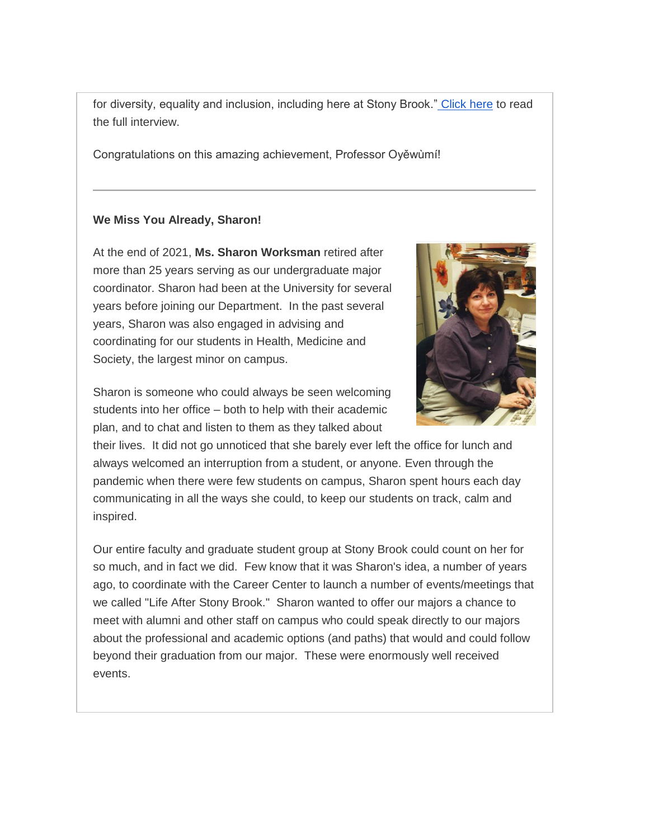for diversity, equality and inclusion, including here at Stony Brook." [Click here](https://alumniandfriends.stonybrook.edu/site/R?i=bWIaR8F-e29Abfm0VHHZTgHlDSNwmhLjcLEYI524hiWSWnId63MmEg) to read the full interview.

Congratulations on this amazing achievement, Professor Oyěwùmí!

## **We Miss You Already, Sharon!**

At the end of 2021, **Ms. Sharon Worksman** retired after more than 25 years serving as our undergraduate major coordinator. Sharon had been at the University for several years before joining our Department. In the past several years, Sharon was also engaged in advising and coordinating for our students in Health, Medicine and Society, the largest minor on campus.



Sharon is someone who could always be seen welcoming students into her office – both to help with their academic plan, and to chat and listen to them as they talked about

their lives. It did not go unnoticed that she barely ever left the office for lunch and always welcomed an interruption from a student, or anyone. Even through the pandemic when there were few students on campus, Sharon spent hours each day communicating in all the ways she could, to keep our students on track, calm and inspired.

Our entire faculty and graduate student group at Stony Brook could count on her for so much, and in fact we did. Few know that it was Sharon's idea, a number of years ago, to coordinate with the Career Center to launch a number of events/meetings that we called "Life After Stony Brook." Sharon wanted to offer our majors a chance to meet with alumni and other staff on campus who could speak directly to our majors about the professional and academic options (and paths) that would and could follow beyond their graduation from our major. These were enormously well received events.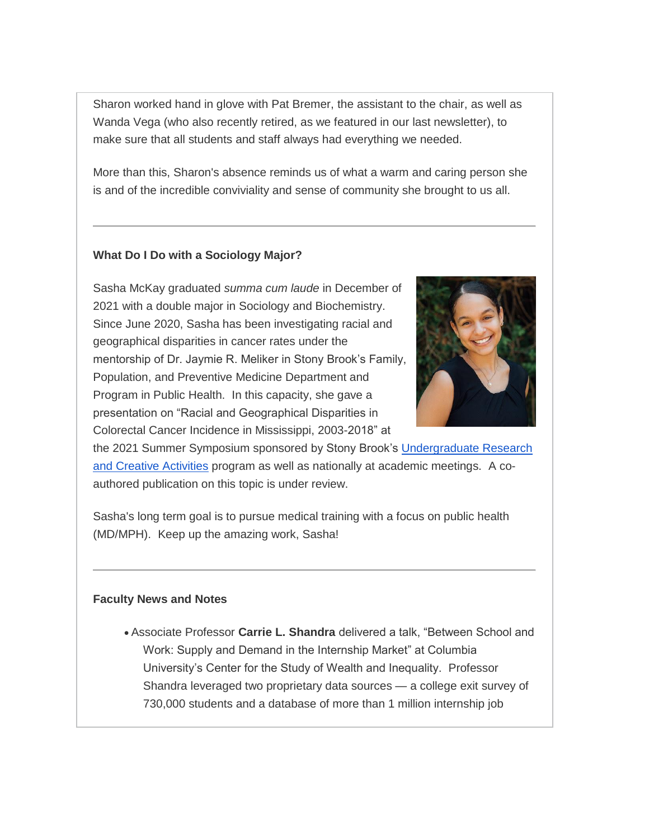Sharon worked hand in glove with Pat Bremer, the assistant to the chair, as well as Wanda Vega (who also recently retired, as we featured in our last newsletter), to make sure that all students and staff always had everything we needed.

More than this, Sharon's absence reminds us of what a warm and caring person she is and of the incredible conviviality and sense of community she brought to us all.

## **What Do I Do with a Sociology Major?**

Sasha McKay graduated *summa cum laude* in December of 2021 with a double major in Sociology and Biochemistry. Since June 2020, Sasha has been investigating racial and geographical disparities in cancer rates under the mentorship of Dr. Jaymie R. Meliker in Stony Brook's Family, Population, and Preventive Medicine Department and Program in Public Health. In this capacity, she gave a presentation on "Racial and Geographical Disparities in Colorectal Cancer Incidence in Mississippi, 2003-2018" at



the 2021 Summer Symposium sponsored by Stony Brook's [Undergraduate Research](https://alumniandfriends.stonybrook.edu/site/R?i=eybFRyVZPJWXl4M-mY7nHRNZOdLUiyXB0dCg1TDC0est6uhgFTLTdQ)  [and Creative Activities](https://alumniandfriends.stonybrook.edu/site/R?i=eybFRyVZPJWXl4M-mY7nHRNZOdLUiyXB0dCg1TDC0est6uhgFTLTdQ) program as well as nationally at academic meetings. A coauthored publication on this topic is under review.

Sasha's long term goal is to pursue medical training with a focus on public health (MD/MPH). Keep up the amazing work, Sasha!

#### **Faculty News and Notes**

 Associate Professor **Carrie L. Shandra** delivered a talk, "Between School and Work: Supply and Demand in the Internship Market" at Columbia University's Center for the Study of Wealth and Inequality. Professor Shandra leveraged two proprietary data sources — a college exit survey of 730,000 students and a database of more than 1 million internship job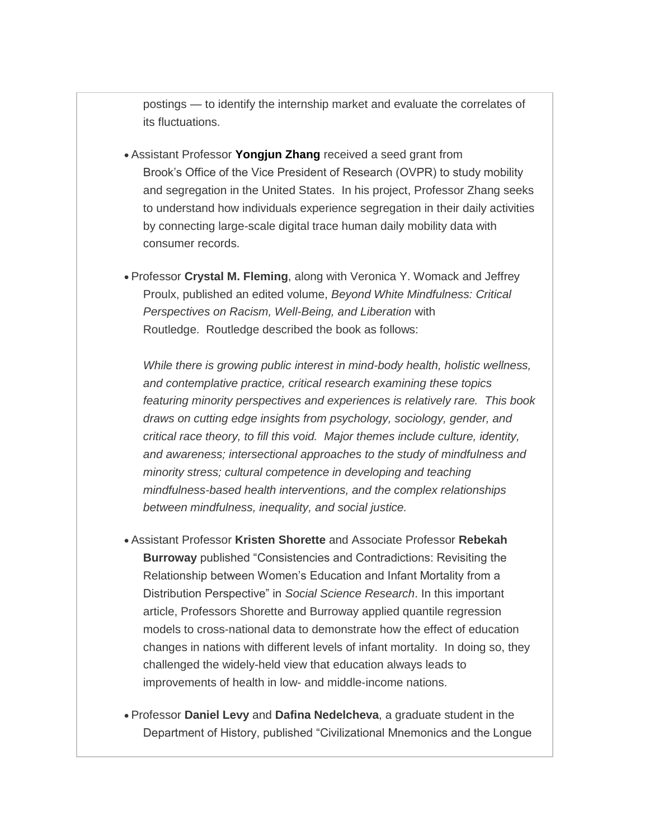postings — to identify the internship market and evaluate the correlates of its fluctuations.

- Assistant Professor **[Yongjun Zhang](https://alumniandfriends.stonybrook.edu/site/R?i=7lzSlrkdKwIRqMCwliMuHGXUOIrTLacJlPnbesptSnUbpx-fwSI2RQ)** received a seed grant from Brook's Office of the Vice President of Research (OVPR) to study mobility and segregation in the United States. In his project, Professor Zhang seeks to understand how individuals experience segregation in their daily activities by connecting large-scale digital trace human daily mobility data with consumer records.
- Professor **Crystal M. Fleming**, along with Veronica Y. Womack and Jeffrey Proulx, published an edited volume, *Beyond White Mindfulness: Critical Perspectives on Racism, Well-Being, and Liberation* with Routledge. Routledge described the book as follows:

*While there is growing public interest in mind-body health, holistic wellness, and contemplative practice, critical research examining these topics featuring minority perspectives and experiences is relatively rare. This book draws on cutting edge insights from psychology, sociology, gender, and critical race theory, to fill this void. Major themes include culture, identity, and awareness; intersectional approaches to the study of mindfulness and minority stress; cultural competence in developing and teaching mindfulness-based health interventions, and the complex relationships between mindfulness, inequality, and social justice.*

- Assistant Professor **Kristen Shorette** and Associate Professor **Rebekah Burroway** published "Consistencies and Contradictions: Revisiting the Relationship between Women's Education and Infant Mortality from a Distribution Perspective" in *Social Science Research*. In this important article, Professors Shorette and Burroway applied quantile regression models to cross-national data to demonstrate how the effect of education changes in nations with different levels of infant mortality. In doing so, they challenged the widely-held view that education always leads to improvements of health in low- and middle-income nations.
- Professor **Daniel Levy** and **Dafina Nedelcheva**, a graduate student in the Department of History, published "Civilizational Mnemonics and the Longue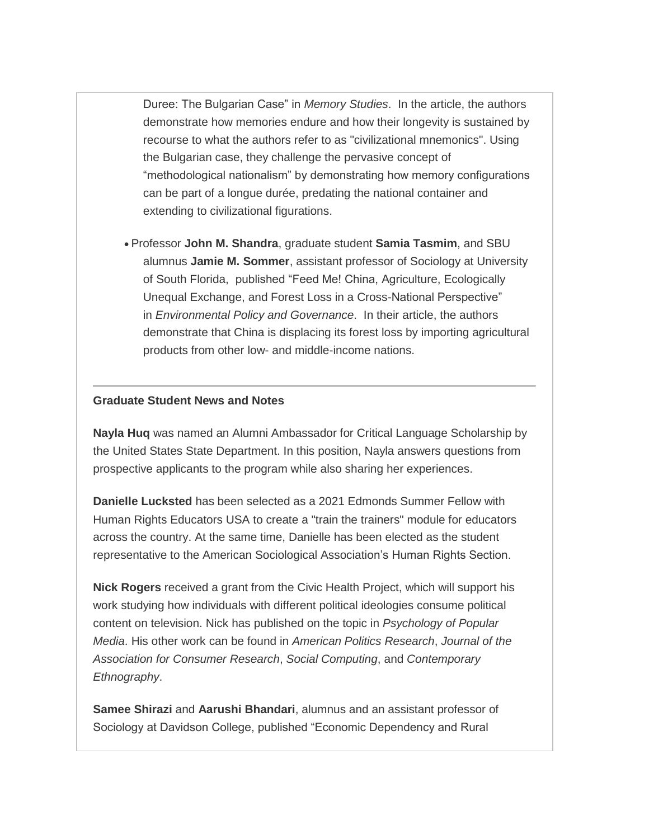Duree: The Bulgarian Case" in *Memory Studies*. In the article, the authors demonstrate how memories endure and how their longevity is sustained by recourse to what the authors refer to as "civilizational mnemonics". Using the Bulgarian case, they challenge the pervasive concept of "methodological nationalism" by demonstrating how memory configurations can be part of a longue durée, predating the national container and extending to civilizational figurations.

 Professor **John M. Shandra**, graduate student **Samia Tasmim**, and SBU alumnus **Jamie M. Sommer**, assistant professor of Sociology at University of South Florida, published "Feed Me! China, Agriculture, Ecologically Unequal Exchange, and Forest Loss in a Cross-National Perspective" in *Environmental Policy and Governance*. In their article, the authors demonstrate that China is displacing its forest loss by importing agricultural products from other low- and middle-income nations.

#### **Graduate Student News and Notes**

**Nayla Huq** was named an Alumni Ambassador for Critical Language Scholarship by the United States State Department. In this position, Nayla answers questions from prospective applicants to the program while also sharing her experiences.

**Danielle Lucksted** has been selected as a 2021 Edmonds Summer Fellow with Human Rights Educators USA to create a "train the trainers" module for educators across the country. At the same time, Danielle has been elected as the student representative to the American Sociological Association's Human Rights Section.

**Nick Rogers** received a grant from the Civic Health Project, which will support his work studying how individuals with different political ideologies consume political content on television. Nick has published on the topic in *Psychology of Popular Media*. His other work can be found in *American Politics Research*, *Journal of the Association for Consumer Research*, *Social Computing*, and *Contemporary Ethnography*.

**Samee Shirazi** and **Aarushi Bhandari**, alumnus and an assistant professor of Sociology at Davidson College, published "Economic Dependency and Rural